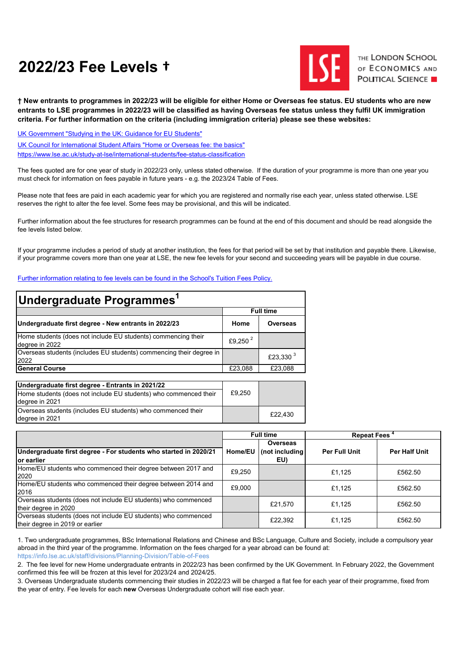# **2022/23 Fee Levels †**



THE LONDON SCHOOL OF ECONOMICS AND **POLITICAL SCIENCE** 

**† New entrants to programmes in 2022/23 will be eligible for either Home or Overseas fee status. EU students who are new entrants to LSE programmes in 2022/23 will be classified as having Overseas fee status unless they fulfil UK immigration criteria. For further information on the criteria (including immigration criteria) please see these websites:**

<https://www.lse.ac.uk/study-at-lse/international-students/fee-status-classification> [UK Government "Studying in the UK: Guidance for EU Students"](https://www.gov.uk/guidance/studying-in-the-uk-guidance-for-eu-students#changes-to-funding-from-the-2021-to-2022-academic-year) [UK Council for International Student Affairs "Home or Overseas fee: the basics"](https://www.ukcisa.org.uk/Information--Advice/Fees-and-Money/Home-or-Overseas-fees-the-basics#layer-6513)

The fees quoted are for one year of study in 2022/23 only, unless stated otherwise. If the duration of your programme is more than one year you must check for information on fees payable in future years - e.g. the 2023/24 Table of Fees.

Please note that fees are paid in each academic year for which you are registered and normally rise each year, unless stated otherwise. LSE reserves the right to alter the fee level. Some fees may be provisional, and this will be indicated.

Further information about the fee structures for research programmes can be found at the end of this document and should be read alongside the fee levels listed below.

If your programme includes a period of study at another institution, the fees for that period will be set by that institution and payable there. Likewise, if your programme covers more than one year at LSE, the new fee levels for your second and succeeding years will be payable in due course.

#### [Further information relating to fee levels can be found in the School's Tuition Fees Policy.](https://info.lse.ac.uk/staff/divisions/Finance-Division/Fees-Income-and-Credit-Control/Debt-and-Credit-Management)

| Undergraduate Programmes <sup>1</sup>                                              |                     |                  |  |  |  |
|------------------------------------------------------------------------------------|---------------------|------------------|--|--|--|
|                                                                                    |                     | <b>Full time</b> |  |  |  |
| Undergraduate first degree - New entrants in 2022/23                               | Home                | Overseas         |  |  |  |
| Home students (does not include EU students) commencing their<br>degree in 2022    | £9,250 <sup>2</sup> |                  |  |  |  |
| Overseas students (includes EU students) commencing their degree in<br>2022        |                     | £23,330 $3$      |  |  |  |
| <b>General Course</b>                                                              | £23.088             | £23.088          |  |  |  |
| Undergraduate first degree - Entrants in 2021/22                                   |                     |                  |  |  |  |
| Home students (does not include EU students) who commenced their<br>degree in 2021 | £9,250              |                  |  |  |  |
| Overseas students (includes EU students) who commenced their<br>dearee in 2021     |                     | £22,430          |  |  |  |

|                                                                                                   | <b>Full time</b> |                                    | <b>Repeat Fees</b> <sup>*</sup> |               |
|---------------------------------------------------------------------------------------------------|------------------|------------------------------------|---------------------------------|---------------|
| Undergraduate first degree - For students who started in 2020/21<br>lor earlier                   | Home/EU          | Overseas<br>(not including)<br>EU) | Per Full Unit                   | Per Half Unit |
| Home/EU students who commenced their degree between 2017 and<br>2020                              | £9,250           |                                    | £1.125                          | £562.50       |
| Home/EU students who commenced their degree between 2014 and<br>2016                              | £9,000           |                                    | £1.125                          | £562.50       |
| Overseas students (does not include EU students) who commenced<br>their degree in 2020            |                  | £21.570                            | £1.125                          | £562.50       |
| Overseas students (does not include EU students) who commenced<br>their degree in 2019 or earlier |                  | £22,392                            | £1,125                          | £562.50       |

1. Two undergraduate programmes, BSc International Relations and Chinese and BSc Language, Culture and Society, include a compulsory year abroad in the third year of the programme. Information on the fees charged for a year abroad can be found at: https://info.lse.ac.uk/staff/divisions/Planning-Division/Table-of-Fees

2. The fee level for new Home undergraduate entrants in 2022/23 has been confirmed by the UK Government. In February 2022, the Government confirmed this fee will be frozen at this level for 2023/24 and 2024/25.

3. Overseas Undergraduate students commencing their studies in 2022/23 will be charged a flat fee for each year of their programme, fixed from the year of entry. Fee levels for each **new** Overseas Undergraduate cohort will rise each year.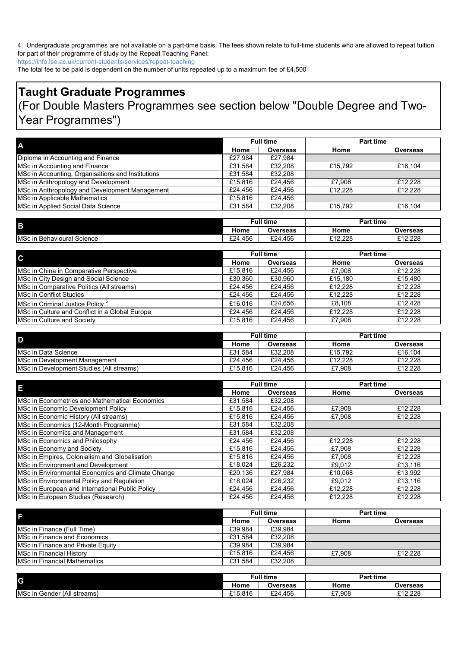4. Undergraduate programmes are not available on a part-time basis. The fees shown relate to full-time students who are allowed to repeat tuition for part of their programme of study by the Repeat Teaching Panel:

https://info.lse.ac.uk/current-students/services/repeat-teaching

The total fee to be paid is dependent on the number of units repeated up to a maximum fee of £4,500

# **Taught Graduate Programmes**

# (For Double Masters Programmes see section below "Double Degree and Two-Year Programmes")

| A                                                 |         | <b>Full time</b> | <b>Part time</b> |                 |
|---------------------------------------------------|---------|------------------|------------------|-----------------|
|                                                   | Home    | <b>Overseas</b>  | Home             | <b>Overseas</b> |
| Diploma in Accounting and Finance                 | £27,984 | £27.984          |                  |                 |
| MSc in Accounting and Finance                     | £31,584 | £32.208          | £15,792          | £16,104         |
| MSc in Accounting, Organisations and Institutions | £31.584 | £32,208          |                  |                 |
| MSc in Anthropology and Development               | £15.816 | £24.456          | £7.908           | £12.228         |
| MSc in Anthropology and Development Management    | £24.456 | £24.456          | £12,228          | £12,228         |
| MSc in Applicable Mathematics                     | £15.816 | £24.456          |                  |                 |
| MSc in Applied Social Data Science                | £31,584 | £32,208          | £15,792          | £16,104         |

| B                               |             | ull time <del>:</del> | <b>Part time</b> |          |
|---------------------------------|-------------|-----------------------|------------------|----------|
|                                 | Home        | Overseas              | Home             | Overseas |
| MSc in<br>າ Behavioural Science | £24<br>.456 | £24,456               | £12.228          | £12.228  |

| $\mathbf{C}$                                   | <b>Full time</b> |                 | <b>Part time</b> |                 |
|------------------------------------------------|------------------|-----------------|------------------|-----------------|
|                                                | Home             | <b>Overseas</b> | Home             | <b>Overseas</b> |
| MSc in China in Comparative Perspective        | £15.816          | £24.456         | £7.908           | £12.228         |
| MSc in City Design and Social Science          | £30.360          | £30.960         | £15.180          | £15.480         |
| MSc in Comparative Politics (All streams)      | £24.456          | £24.456         | £12.228          | £12.228         |
| MSc in Conflict Studies                        | £24.456          | £24.456         | £12.228          | £12,228         |
| MSc in Criminal Justice Policy <sup>5</sup>    | £16.016          | £24.656         | £8.108           | £12.428         |
| MSc in Culture and Conflict in a Global Europe | £24.456          | £24.456         | £12.228          | £12.228         |
| <b>MSc in Culture and Society</b>              | £15,816          | £24.456         | £7.908           | £12.228         |

| I D                                              | <b>Full time</b> |          | <b>Part time</b> |          |
|--------------------------------------------------|------------------|----------|------------------|----------|
|                                                  | Home             | Overseas | Home             | Overseas |
| <b>IMSc in Data Science</b>                      | £31.584          | £32.208  | £15.792          | £16.104  |
| MSc in Development Management                    | £24.456          | £24.456  | £12.228          | £12.228  |
| <b>IMSc in Development Studies (All streams)</b> | £15.816          | £24.456  | £7.908           | £12.228  |

| H                                                 |         | <b>Full time</b> | <b>Part time</b> |          |
|---------------------------------------------------|---------|------------------|------------------|----------|
|                                                   | Home    | <b>Overseas</b>  | Home             | Overseas |
| MSc in Econometrics and Mathematical Economics    | £31.584 | £32,208          |                  |          |
| MSc in Economic Development Policy                | £15,816 | £24,456          | £7.908           | £12.228  |
| MSc in Economic History (All streams)             | £15,816 | £24,456          | £7,908           | £12.228  |
| MSc in Economics (12-Month Programme)             | £31.584 | £32,208          |                  |          |
| MSc in Economics and Management                   | £31.584 | £32,208          |                  |          |
| MSc in Economics and Philosophy                   | £24,456 | £24,456          | £12,228          | £12,228  |
| MSc in Economy and Society                        | £15,816 | £24,456          | £7,908           | £12,228  |
| MSc in Empires, Colonialism and Globalisation     | £15,816 | £24.456          | £7.908           | £12,228  |
| MSc in Environment and Development                | £18.024 | £26,232          | £9.012           | £13,116  |
| MSc in Environmental Economics and Climate Change | £20,136 | £27,984          | £10.068          | £13.992  |
| MSc in Environmental Policy and Regulation        | £18.024 | £26,232          | £9.012           | £13,116  |
| MSc in European and International Public Policy   | £24,456 | £24,456          | £12,228          | £12,228  |
| MSc in European Studies (Research)                | £24,456 | £24,456          | £12.228          | £12,228  |

| F                                    | <b>Full time</b> |          | <b>Part time</b> |          |
|--------------------------------------|------------------|----------|------------------|----------|
|                                      | Home             | Overseas | Home             | Overseas |
| MSc in Finance (Full Time)           | £39.984          | £39.984  |                  |          |
| MSc in Finance and Economics         | £31.584          | £32,208  |                  |          |
| MSc in Finance and Private Equity    | £39.984          | £39.984  |                  |          |
| MSc in Financial History             | £15,816          | £24.456  | £7.908           | £12,228  |
| <b>IMSc in Financial Mathematics</b> | £31.584          | £32,208  |                  |          |

| G                                   | Full time   |                 | <b>Part time</b> |          |
|-------------------------------------|-------------|-----------------|------------------|----------|
|                                     | . .<br>Home | <b>Overseas</b> | Home             | Overseas |
| MSc in<br>Gender (All<br>I streams) | £15.816     | £24.456         | £7.908           | £12.228  |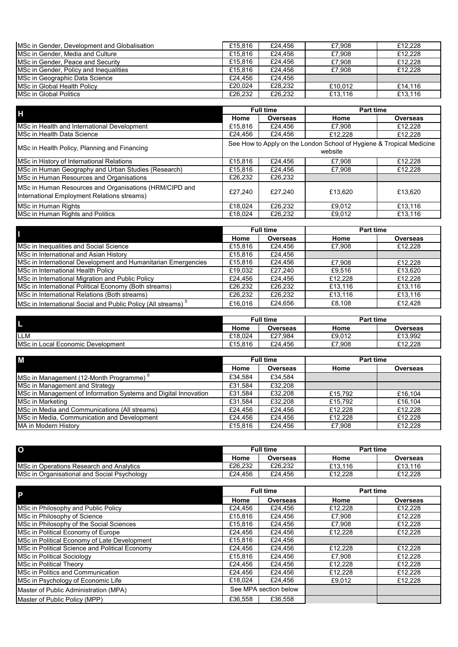| <b>IMSc in Gender. Development and Globalisation</b> | £15,816 | £24.456 | £7.908  | £12.228 |
|------------------------------------------------------|---------|---------|---------|---------|
| MSc in Gender, Media and Culture                     | £15,816 | £24.456 | £7.908  | £12.228 |
| MSc in Gender, Peace and Security                    | £15,816 | £24.456 | £7.908  | £12,228 |
| MSc in Gender, Policy and Inequalities               | £15,816 | £24.456 | £7.908  | £12,228 |
| MSc in Geographic Data Science                       | £24.456 | £24.456 |         |         |
| <b>MSc in Global Health Policy</b>                   | £20.024 | £28,232 | £10.012 | £14.116 |
| MSc in Global Politics                               | £26.232 | £26,232 | £13.116 | £13.116 |

| H                                                                                                     |                                                                                 | <b>Full time</b> | <b>Part time</b> |          |
|-------------------------------------------------------------------------------------------------------|---------------------------------------------------------------------------------|------------------|------------------|----------|
|                                                                                                       | Home                                                                            | Overseas         | Home             | Overseas |
| MSc in Health and International Development                                                           | £15,816                                                                         | £24.456          | £7.908           | £12,228  |
| <b>IMSc in Health Data Science</b>                                                                    | £24.456                                                                         | £24,456          | £12.228          | £12,228  |
| MSc in Health Policy, Planning and Financing                                                          | See How to Apply on the London School of Hygiene & Tropical Medicine<br>website |                  |                  |          |
| MSc in History of International Relations                                                             | £15.816                                                                         | £24.456          | £7.908           | £12,228  |
| MSc in Human Geography and Urban Studies (Research)                                                   | £15,816                                                                         | £24,456          | £7,908           | £12,228  |
| MSc in Human Resources and Organisations                                                              | £26,232                                                                         | £26,232          |                  |          |
| MSc in Human Resources and Organisations (HRM/CIPD and<br>International Employment Relations streams) | £27.240                                                                         | £27.240          | £13.620          | £13.620  |
| MSc in Human Rights                                                                                   | £18.024                                                                         | £26.232          | £9,012           | £13,116  |
| MSc in Human Rights and Politics                                                                      | £18.024                                                                         | £26,232          | £9.012           | £13.116  |

| П                                                                        |         | <b>Full time</b> | Part time |                 |
|--------------------------------------------------------------------------|---------|------------------|-----------|-----------------|
|                                                                          | Home    | <b>Overseas</b>  | Home      | <b>Overseas</b> |
| MSc in Inequalities and Social Science                                   | £15,816 | £24.456          | £7.908    | £12.228         |
| MSc in International and Asian History                                   | £15,816 | £24.456          |           |                 |
| MSc in International Development and Humanitarian Emergencies            | £15,816 | £24.456          | £7.908    | £12.228         |
| MSc in International Health Policy                                       | £19.032 | £27.240          | £9.516    | £13.620         |
| MSc in International Migration and Public Policy                         | £24.456 | £24.456          | £12,228   | £12,228         |
| MSc in International Political Economy (Both streams)                    | £26.232 | £26,232          | £13.116   | £13,116         |
| MSc in International Relations (Both streams)                            | £26,232 | £26.232          | £13,116   | £13,116         |
| MSc in International Social and Public Policy (All streams) <sup>5</sup> | £16.016 | £24.656          | £8.108    | £12.428         |

|                                           |         | Full time | <b>Part time</b> |          |
|-------------------------------------------|---------|-----------|------------------|----------|
|                                           | Home    | Overseas  | Home             | Overseas |
| <b>ILLM</b>                               | £18.024 | £27.984   | £9.012           | £13.992  |
| <b>IMSc in Local Economic Development</b> | £15.816 | £24.456   | £7.908           | £12.228  |

| M                                                               | <b>Full time</b> |                 | <b>Part time</b> |                 |
|-----------------------------------------------------------------|------------------|-----------------|------------------|-----------------|
|                                                                 | Home             | <b>Overseas</b> | Home             | <b>Overseas</b> |
| MSc in Management (12-Month Programme) <sup>o</sup>             | £34.584          | £34.584         |                  |                 |
| MSc in Management and Strategy                                  | £31.584          | £32.208         |                  |                 |
| MSc in Management of Information Systems and Digital Innovation | £31.584          | £32,208         | £15,792          | £16.104         |
| MSc in Marketing                                                | £31.584          | £32,208         | £15,792          | £16,104         |
| IMSc in Media and Communications (All streams)                  | £24.456          | £24.456         | £12,228          | £12.228         |
| MSc in Media, Communication and Development                     | £24.456          | £24.456         | £12,228          | £12.228         |
| MA in Modern History                                            | £15,816          | £24.456         | £7.908           | £12.228         |

| $\overline{O}$                                   | <b>Full time</b> |          | <b>Part time</b> |          |
|--------------------------------------------------|------------------|----------|------------------|----------|
|                                                  | Home             | Overseas | Home             | Overseas |
| <b>IMSc in Operations Research and Analytics</b> | £26.232          | £26.232  | £13.116          | £13.116  |
| MSc in Organisational and Social Psychology      | £24.456          | £24.456  | £12.228          | £12.228  |

| P                                              |                       | <b>Full time</b> | <b>Part time</b> |          |
|------------------------------------------------|-----------------------|------------------|------------------|----------|
|                                                | Home                  | Overseas         | Home             | Overseas |
| MSc in Philosophy and Public Policy            | £24,456               | £24,456          | £12,228          | £12,228  |
| MSc in Philosophy of Science                   | £15,816               | £24,456          | £7,908           | £12,228  |
| MSc in Philosophy of the Social Sciences       | £15,816               | £24,456          | £7,908           | £12,228  |
| MSc in Political Economy of Europe             | £24,456               | £24.456          | £12,228          | £12,228  |
| MSc in Political Economy of Late Development   | £15,816               | £24.456          |                  |          |
| MSc in Political Science and Political Economy | £24,456               | £24,456          | £12.228          | £12,228  |
| MSc in Political Sociology                     | £15,816               | £24,456          | £7.908           | £12.228  |
| MSc in Political Theory                        | £24.456               | £24.456          | £12.228          | £12.228  |
| MSc in Politics and Communication              | £24.456               | £24.456          | £12.228          | £12,228  |
| MSc in Psychology of Economic Life             | £18,024               | £24.456          | £9.012           | £12,228  |
| Master of Public Administration (MPA)          | See MPA section below |                  |                  |          |
| Master of Public Policy (MPP)                  | £36.558               | £36,558          |                  |          |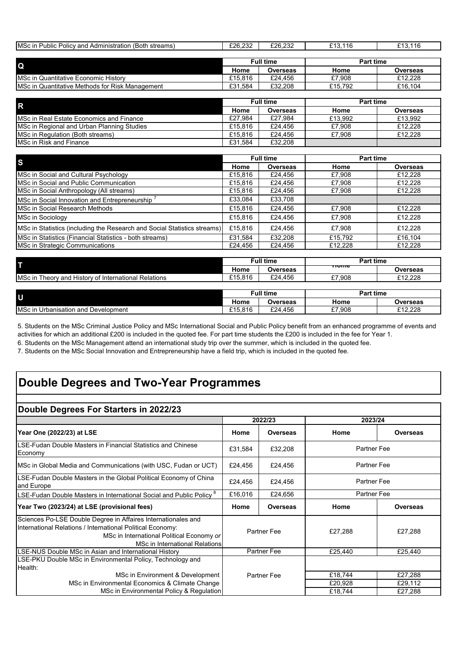| <b>IMSc in Public Policy and Administration (Both streams)</b> | £26.232          | £26,232  | £13.116          | £13.116         |
|----------------------------------------------------------------|------------------|----------|------------------|-----------------|
|                                                                |                  |          |                  |                 |
|                                                                | <b>Full time</b> |          | <b>Part time</b> |                 |
| <b>IQ</b>                                                      | Home             | Overseas | Home             | <b>Overseas</b> |
| <b>IMSc in Quantitative Economic History</b>                   | £15,816          | £24.456  | £7.908           | £12,228         |
| <b>IMSc in Quantitative Methods for Risk Management</b>        | £31.584          | £32,208  | £15.792          | £16.104         |

| <b>IR</b>                                        | <b>Full time</b> |          | <b>Part time</b> |                 |
|--------------------------------------------------|------------------|----------|------------------|-----------------|
|                                                  | Home             | Overseas | Home             | <b>Overseas</b> |
| <b>IMSc in Real Estate Economics and Finance</b> | £27.984          | £27.984  | £13.992          | £13,992         |
| MSc in Regional and Urban Planning Studies       | £15,816          | £24.456  | £7.908           | £12,228         |
| <b>IMSc in Regulation (Both streams)</b>         | £15,816          | £24.456  | £7.908           | £12,228         |
| <b>IMSc in Risk and Finance</b>                  | £31.584          | £32,208  |                  |                 |

| <b>S</b>                                                                 | <b>Full time</b> |          | <b>Part time</b> |                 |
|--------------------------------------------------------------------------|------------------|----------|------------------|-----------------|
|                                                                          | Home             | Overseas | Home             | <b>Overseas</b> |
| MSc in Social and Cultural Psychology                                    | £15,816          | £24,456  | £7,908           | £12,228         |
| <b>IMSc in Social and Public Communication</b>                           | £15,816          | £24,456  | £7,908           | £12,228         |
| MSc in Social Anthropology (All streams)                                 | £15,816          | £24,456  | £7,908           | £12,228         |
| MSc in Social Innovation and Entrepreneurship <sup>7</sup>               | £33,084          | £33,708  |                  |                 |
| MSc in Social Research Methods                                           | £15,816          | £24,456  | £7,908           | £12,228         |
| MSc in Sociology                                                         | £15,816          | £24.456  | £7.908           | £12,228         |
| MSc in Statistics (including the Research and Social Statistics streams) | £15,816          | £24.456  | £7.908           | £12.228         |
| MSc in Statistics (Financial Statistics - both streams)                  | £31.584          | £32.208  | £15.792          | £16,104         |
| MSc in Strategic Communications                                          | £24.456          | £24.456  | £12.228          | £12.228         |

| Đ                                                            |                  | <b>Full time</b> | <b>Part time</b> |          |  |
|--------------------------------------------------------------|------------------|------------------|------------------|----------|--|
|                                                              | Home             | Overseas         | πυπισ            | Overseas |  |
| <b>IMSc in Theory and History of International Relations</b> | £15,816          | £24.456          | £7.908           | £12.228  |  |
|                                                              |                  |                  |                  |          |  |
| l U                                                          | <b>Full time</b> |                  | <b>Part time</b> |          |  |
|                                                              | Home             | Overseas         | Home             | Overseas |  |

MSc in Urbanisation and Development **E15,816** E15,816 **E24,456 E27,908** E12,228

5. Students on the MSc Criminal Justice Policy and MSc International Social and Public Policy benefit from an enhanced programme of events and activities for which an additional £200 is included in the quoted fee. For part time students the £200 is included in the fee for Year 1.

6. Students on the MSc Management attend an international study trip over the summer, which is included in the quoted fee.

7. Students on the MSc Social Innovation and Entrepreneurship have a field trip, which is included in the quoted fee.

# **Double Degrees and Two-Year Programmes**

# **Double Degrees For Starters in 2022/23**

|                                                                                                                                                                                                                   | 2022/23            |                    | 2023/24            |                 |
|-------------------------------------------------------------------------------------------------------------------------------------------------------------------------------------------------------------------|--------------------|--------------------|--------------------|-----------------|
| Year One (2022/23) at LSE                                                                                                                                                                                         | Home               | <b>Overseas</b>    | Home               | <b>Overseas</b> |
| LSE-Fudan Double Masters in Financial Statistics and Chinese<br>Economy                                                                                                                                           | £31,584            | £32,208            | Partner Fee        |                 |
| MSc in Global Media and Communications (with USC, Fudan or UCT)                                                                                                                                                   | £24,456            | £24,456            | <b>Partner Fee</b> |                 |
| LSE-Fudan Double Masters in the Global Political Economy of China<br>and Europe                                                                                                                                   | £24,456            | £24,456            | <b>Partner Fee</b> |                 |
| LSE-Fudan Double Masters in International Social and Public Policy <sup>8</sup>                                                                                                                                   | £16,016            | £24,656            | <b>Partner Fee</b> |                 |
| Year Two (2023/24) at LSE (provisional fees)                                                                                                                                                                      | Home               | <b>Overseas</b>    | Home               | Overseas        |
| Sciences Po-LSE Double Degree in Affaires Internationales and<br>International Relations / International Political Economy:<br>MSc in International Political Economy or<br><b>MSc in International Relations</b> | <b>Partner Fee</b> |                    | £27,288            | £27,288         |
| LSE-NUS Double MSc in Asian and International History                                                                                                                                                             |                    | <b>Partner Fee</b> | £25,440            | £25,440         |
| LSE-PKU Double MSc in Environmental Policy, Technology and<br>Health:                                                                                                                                             |                    |                    |                    |                 |
| MSc in Environment & Development                                                                                                                                                                                  |                    | Partner Fee        | £18,744            | £27,288         |
| MSc in Environmental Economics & Climate Change                                                                                                                                                                   |                    |                    | £20,928            | £29,112         |
| MSc in Environmental Policy & Regulation                                                                                                                                                                          |                    |                    | £18,744            | £27,288         |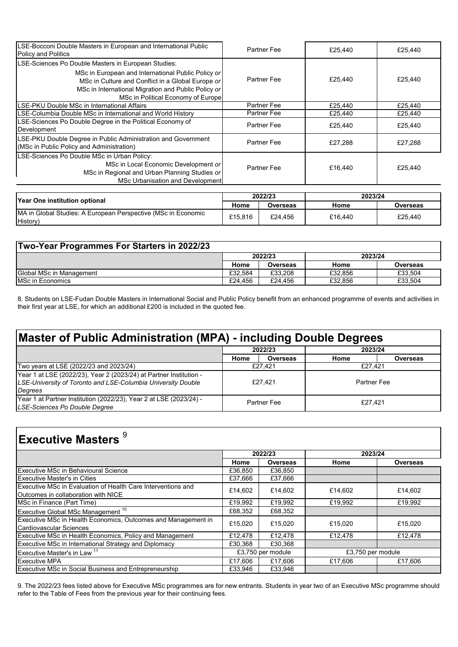| LSE-Bocconi Double Masters in European and International Public<br><b>Policy and Politics</b>                                                                                                        | Partner Fee        | £25.440 | £25,440 |
|------------------------------------------------------------------------------------------------------------------------------------------------------------------------------------------------------|--------------------|---------|---------|
| LSE-Sciences Po Double Masters in European Studies:                                                                                                                                                  |                    |         |         |
| MSc in European and International Public Policy or<br>MSc in Culture and Conflict in a Global Europe or<br>MSc in International Migration and Public Policy or<br>MSc in Political Economy of Europe | Partner Fee        | £25.440 | £25,440 |
| LSE-PKU Double MSc in International Affairs                                                                                                                                                          | <b>Partner Fee</b> | £25,440 | £25,440 |
| LSE-Columbia Double MSc in International and World History                                                                                                                                           | <b>Partner Fee</b> | £25,440 | £25,440 |
| LSE-Sciences Po Double Degree in the Political Economy of<br>Development                                                                                                                             | Partner Fee        | £25,440 | £25,440 |
| LSE-PKU Double Degree in Public Administration and Government<br>(MSc in Public Policy and Administration)                                                                                           | Partner Fee        | £27,288 | £27,288 |
| LSE-Sciences Po Double MSc in Urban Policy:<br>MSc in Local Economic Development or<br>MSc in Regional and Urban Planning Studies or<br>MSc Urbanisation and Development                             | <b>Partner Fee</b> | £16,440 | £25,440 |

| <b>Prear One institution optional</b>                                     | 2022/23 |          | 2023/24 |          |
|---------------------------------------------------------------------------|---------|----------|---------|----------|
|                                                                           | Home    | Overseas | Home    | Overseas |
| MA in Global Studies: A European Perspective (MSc in Economic<br>History) | £15.816 | £24.456  | £16.440 | £25.440  |

| Two-Year Programmes For Starters in 2022/23 |         |          |         |          |
|---------------------------------------------|---------|----------|---------|----------|
|                                             |         | 2022/23  | 2023/24 |          |
|                                             | Home    | Overseas | Home    | Overseas |
| <b>Global MSc in Management</b>             | £32.584 | £33.208  | £32.856 | £33.504  |
| <b>MSc in Economics</b>                     | £24.456 | £24.456  | £32.856 | £33.504  |

8. Students on LSE-Fudan Double Masters in International Social and Public Policy benefit from an enhanced programme of events and activities in their first year at LSE, for which an additional £200 is included in the quoted fee.

# **Master of Public Administration (MPA) - including Double Degrees**

|                                                                                                                                    | 2022/23     |                 | 2023/24     |          |
|------------------------------------------------------------------------------------------------------------------------------------|-------------|-----------------|-------------|----------|
|                                                                                                                                    | Home        | <b>Overseas</b> | Home        | Overseas |
| Two years at LSE (2022/23 and 2023/24)                                                                                             | £27.421     |                 | £27.421     |          |
| Year 1 at LSE (2022/23), Year 2 (2023/24) at Partner Institution -<br>LSE-University of Toronto and LSE-Columbia University Double | £27.421     |                 | Partner Fee |          |
| Degrees                                                                                                                            |             |                 |             |          |
| Year 1 at Partner Institution (2022/23), Year 2 at LSE (2023/24) -<br>LSE-Sciences Po Double Degree                                | Partner Fee |                 | £27.421     |          |

# **Executive Masters** <sup>9</sup>

|                                                                                                     | 2022/23 |                   | 2023/24           |          |
|-----------------------------------------------------------------------------------------------------|---------|-------------------|-------------------|----------|
|                                                                                                     | Home    | <b>Overseas</b>   | Home              | Overseas |
| Executive MSc in Behavioural Science                                                                | £36,850 | £36,850           |                   |          |
| <b>Executive Master's in Cities</b>                                                                 | £37,666 | £37,666           |                   |          |
| Executive MSc in Evaluation of Health Care Interventions and<br>Outcomes in collaboration with NICE | £14,602 | £14.602           | £14,602           | £14,602  |
| MSc in Finance (Part Time)                                                                          | £19,992 | £19,992           | £19,992           | £19,992  |
| Executive Global MSc Management <sup>10</sup>                                                       | £68,352 | £68,352           |                   |          |
| Executive MSc in Health Economics, Outcomes and Management in<br>Cardiovascular Sciences            | £15,020 | £15.020           | £15.020           | £15,020  |
| Executive MSc in Health Economics, Policy and Management                                            | £12,478 | £12.478           | £12,478           | £12,478  |
| Executive MSc in International Strategy and Diplomacy                                               | £30.368 | £30,368           |                   |          |
| Executive Master's in Law <sup>11</sup>                                                             |         | £3,750 per module | £3,750 per module |          |
| <b>Executive MPA</b>                                                                                | £17,606 | £17,606           | £17,606           | £17,606  |
| <b>Executive MSc in Social Business and Entrepreneurship</b>                                        | £33.946 | £33.946           |                   |          |

9. The 2022/23 fees listed above for Executive MSc programmes are for new entrants. Students in year two of an Executive MSc programme should refer to the Table of Fees from the previous year for their continuing fees.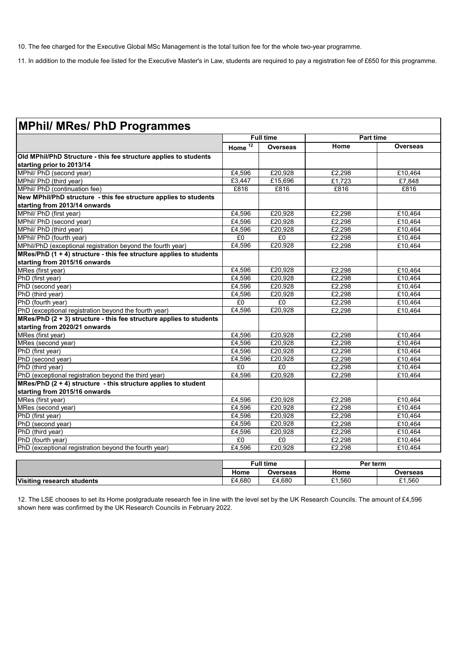10. The fee charged for the Executive Global MSc Management is the total tuition fee for the whole two-year programme.

11. In addition to the module fee listed for the Executive Master's in Law, students are required to pay a registration fee of £650 for this programme.

|                                                                       | <b>Full time</b>     |                 | <b>Part time</b> |                 |
|-----------------------------------------------------------------------|----------------------|-----------------|------------------|-----------------|
|                                                                       | Home $\overline{12}$ | <b>Overseas</b> | Home             | <b>Overseas</b> |
| Old MPhil/PhD Structure - this fee structure applies to students      |                      |                 |                  |                 |
| starting prior to 2013/14                                             |                      |                 |                  |                 |
| MPhil/ PhD (second year)                                              | £4,596               | £20,928         | £2,298           | £10,464         |
| MPhil/ PhD (third year)                                               | £3,447               | £15,696         | £1.723           | £7.848          |
| MPhil/ PhD (continuation fee)                                         | £816                 | £816            | £816             | £816            |
| New MPhil/PhD structure - this fee structure applies to students      |                      |                 |                  |                 |
| starting from 2013/14 onwards                                         |                      |                 |                  |                 |
| MPhil/ PhD (first year)                                               | £4,596               | £20,928         | £2,298           | £10,464         |
| MPhil/ PhD (second year)                                              | £4,596               | £20,928         | £2,298           | £10.464         |
| MPhil/ PhD (third year)                                               | £4,596               | £20.928         | £2,298           | £10,464         |
| MPhil/ PhD (fourth year)                                              | £0                   | £0              | £2,298           | £10,464         |
| MPhil/PhD (exceptional registration beyond the fourth year)           | £4,596               | £20,928         | £2,298           | £10,464         |
| MRes/PhD (1 + 4) structure - this fee structure applies to students   |                      |                 |                  |                 |
| starting from 2015/16 onwards                                         |                      |                 |                  |                 |
| MRes (first year)                                                     | £4,596               | £20,928         | £2,298           | £10,464         |
| PhD (first year)                                                      | £4,596               | £20,928         | £2,298           | £10,464         |
| PhD (second year)                                                     | £4,596               | £20,928         | £2,298           | £10,464         |
| PhD (third year)                                                      | £4,596               | £20,928         | £2,298           | £10,464         |
| PhD (fourth year)                                                     | £0                   | E <sub>0</sub>  | £2.298           | £10.464         |
| PhD (exceptional registration beyond the fourth year)                 | £4,596               | £20,928         | £2,298           | £10,464         |
| MRes/PhD $(2 + 3)$ structure - this fee structure applies to students |                      |                 |                  |                 |
| starting from 2020/21 onwards                                         |                      |                 |                  |                 |
| MRes (first year)                                                     | £4.596               | £20.928         | £2.298           | £10.464         |
| MRes (second year)                                                    | £4,596               | £20,928         | £2,298           | £10,464         |
| PhD (first year)                                                      | £4,596               | £20,928         | £2,298           | £10,464         |
| PhD (second year)                                                     | £4.596               | £20.928         | £2,298           | £10,464         |
| PhD (third year)                                                      | £0                   | £0              | £2,298           | £10,464         |
| PhD (exceptional registration beyond the third year)                  | E4,596               | £20.928         | £2,298           | £10,464         |
| MRes/PhD $(2 + 4)$ structure - this structure applies to student      |                      |                 |                  |                 |
| starting from 2015/16 onwards                                         |                      |                 |                  |                 |
| MRes (first year)                                                     | £4.596               | £20,928         | £2,298           | £10,464         |
| MRes (second year)                                                    | £4.596               | £20.928         | £2,298           | £10.464         |
| PhD (first year)                                                      | £4,596               | £20,928         | £2,298           | £10,464         |
| PhD (second year)                                                     | £4,596               | £20,928         | £2,298           | £10,464         |
| PhD (third year)                                                      | £4,596               | £20,928         | £2,298           | £10.464         |
| PhD (fourth year)                                                     | £0                   | £0              | £2,298           | £10.464         |
| PhD (exceptional registration beyond the fourth year)                 | £4,596               | £20,928         | £2,298           | £10,464         |
|                                                                       |                      |                 |                  |                 |
|                                                                       | <b>Full time</b>     |                 | Per term         |                 |
|                                                                       | Home                 | <b>Overseas</b> | Home             | <b>Overseas</b> |

| 12. The LSE chooses to set its Home postgraduate research fee in line with the level set by the UK Research Councils. The amount of £4,596 |  |  |
|--------------------------------------------------------------------------------------------------------------------------------------------|--|--|
| shown here was confirmed by the UK Research Councils in February 2022.                                                                     |  |  |

**Visiting research students E1,560 E24,680 E4,680 £1,560 £1,560 £1,560**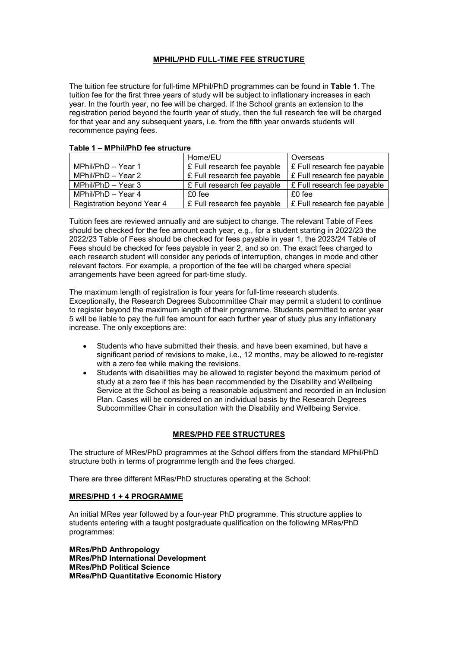# **MPHIL/PHD FULL-TIME FEE STRUCTURE**

The tuition fee structure for full-time MPhil/PhD programmes can be found in **Table 1**. The tuition fee for the first three years of study will be subject to inflationary increases in each year. In the fourth year, no fee will be charged. If the School grants an extension to the registration period beyond the fourth year of study, then the full research fee will be charged for that year and any subsequent years, i.e. from the fifth year onwards students will recommence paying fees.

|                            | Home/EU                     | Overseas                              |
|----------------------------|-----------------------------|---------------------------------------|
| MPhil/PhD - Year 1         | £ Full research fee payable | $\mathsf E$ Full research fee payable |
| MPhil/PhD - Year 2         | £ Full research fee payable | $\mathsf E$ Full research fee payable |
| MPhil/PhD - Year 3         | £ Full research fee payable | $\mathsf E$ Full research fee payable |
| MPhil/PhD - Year 4         | $£0$ fee                    | $£0$ fee                              |
| Registration beyond Year 4 | £ Full research fee payable | E Full research fee payable           |

#### **Table 1 – MPhil/PhD fee structure**

Tuition fees are reviewed annually and are subject to change. The relevant Table of Fees should be checked for the fee amount each year, e.g., for a student starting in 2022/23 the 2022/23 Table of Fees should be checked for fees payable in year 1, the 2023/24 Table of Fees should be checked for fees payable in year 2, and so on. The exact fees charged to each research student will consider any periods of interruption, changes in mode and other relevant factors. For example, a proportion of the fee will be charged where special arrangements have been agreed for part-time study.

The maximum length of registration is four years for full-time research students. Exceptionally, the Research Degrees Subcommittee Chair may permit a student to continue to register beyond the maximum length of their programme. Students permitted to enter year 5 will be liable to pay the full fee amount for each further year of study plus any inflationary increase. The only exceptions are:

- Students who have submitted their thesis, and have been examined, but have a significant period of revisions to make, i.e., 12 months, may be allowed to re-register with a zero fee while making the revisions.
- Students with disabilities may be allowed to register beyond the maximum period of study at a zero fee if this has been recommended by the Disability and Wellbeing Service at the School as being a reasonable adjustment and recorded in an Inclusion Plan. Cases will be considered on an individual basis by the Research Degrees Subcommittee Chair in consultation with the Disability and Wellbeing Service.

## **MRES/PHD FEE STRUCTURES**

The structure of MRes/PhD programmes at the School differs from the standard MPhil/PhD structure both in terms of programme length and the fees charged.

There are three different MRes/PhD structures operating at the School:

### **MRES/PHD 1 + 4 PROGRAMME**

An initial MRes year followed by a four-year PhD programme. This structure applies to students entering with a taught postgraduate qualification on the following MRes/PhD programmes:

**MRes/PhD Anthropology MRes/PhD International Development MRes/PhD Political Science MRes/PhD Quantitative Economic History**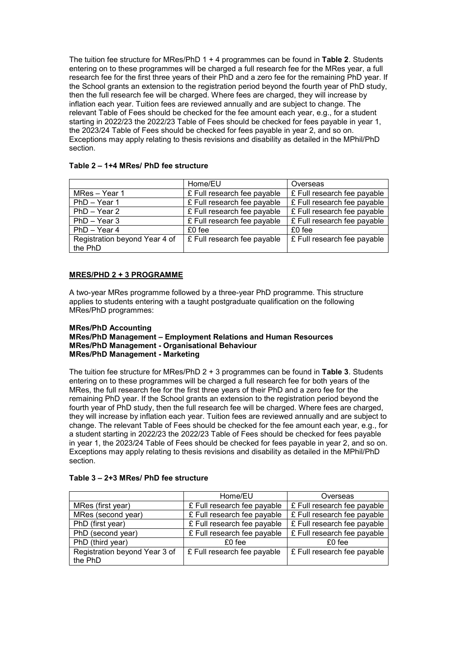The tuition fee structure for MRes/PhD 1 + 4 programmes can be found in **Table 2**. Students entering on to these programmes will be charged a full research fee for the MRes year, a full research fee for the first three years of their PhD and a zero fee for the remaining PhD year. If the School grants an extension to the registration period beyond the fourth year of PhD study, then the full research fee will be charged. Where fees are charged, they will increase by inflation each year. Tuition fees are reviewed annually and are subject to change. The relevant Table of Fees should be checked for the fee amount each year, e.g., for a student starting in 2022/23 the 2022/23 Table of Fees should be checked for fees payable in year 1, the 2023/24 Table of Fees should be checked for fees payable in year 2, and so on. Exceptions may apply relating to thesis revisions and disability as detailed in the MPhil/PhD section.

|                                          | Home/EU                     | Overseas                    |
|------------------------------------------|-----------------------------|-----------------------------|
| MRes - Year 1                            | £ Full research fee payable | £ Full research fee payable |
| PhD - Year 1                             | £ Full research fee payable | £ Full research fee payable |
| $PhD - Year 2$                           | £ Full research fee payable | £ Full research fee payable |
| $PhD - Year3$                            | £ Full research fee payable | £ Full research fee payable |
| $PhD - Year 4$                           | $£0$ fee                    | $£0$ fee                    |
| Registration beyond Year 4 of<br>the PhD | £ Full research fee payable | £ Full research fee payable |

## **Table 2 – 1+4 MRes/ PhD fee structure**

### **MRES/PHD 2 + 3 PROGRAMME**

A two-year MRes programme followed by a three-year PhD programme. This structure applies to students entering with a taught postgraduate qualification on the following MRes/PhD programmes:

### **MRes/PhD Accounting MRes/PhD Management – Employment Relations and Human Resources MRes/PhD Management - Organisational Behaviour MRes/PhD Management - Marketing**

The tuition fee structure for MRes/PhD 2 + 3 programmes can be found in **Table 3**. Students entering on to these programmes will be charged a full research fee for both years of the MRes, the full research fee for the first three years of their PhD and a zero fee for the remaining PhD year. If the School grants an extension to the registration period beyond the fourth year of PhD study, then the full research fee will be charged. Where fees are charged, they will increase by inflation each year. Tuition fees are reviewed annually and are subject to change. The relevant Table of Fees should be checked for the fee amount each year, e.g., for a student starting in 2022/23 the 2022/23 Table of Fees should be checked for fees payable in year 1, the 2023/24 Table of Fees should be checked for fees payable in year 2, and so on. Exceptions may apply relating to thesis revisions and disability as detailed in the MPhil/PhD section.

|                               | Home/EU                     | Overseas                    |
|-------------------------------|-----------------------------|-----------------------------|
| MRes (first year)             | £ Full research fee payable | £ Full research fee payable |
| MRes (second year)            | £ Full research fee payable | £ Full research fee payable |
| PhD (first year)              | £ Full research fee payable | £ Full research fee payable |
| PhD (second year)             | £ Full research fee payable | £ Full research fee payable |
| PhD (third year)              | £0 fee                      | £0 fee                      |
| Registration beyond Year 3 of | £ Full research fee payable | £ Full research fee payable |
| the PhD                       |                             |                             |

### **Table 3 – 2+3 MRes/ PhD fee structure**